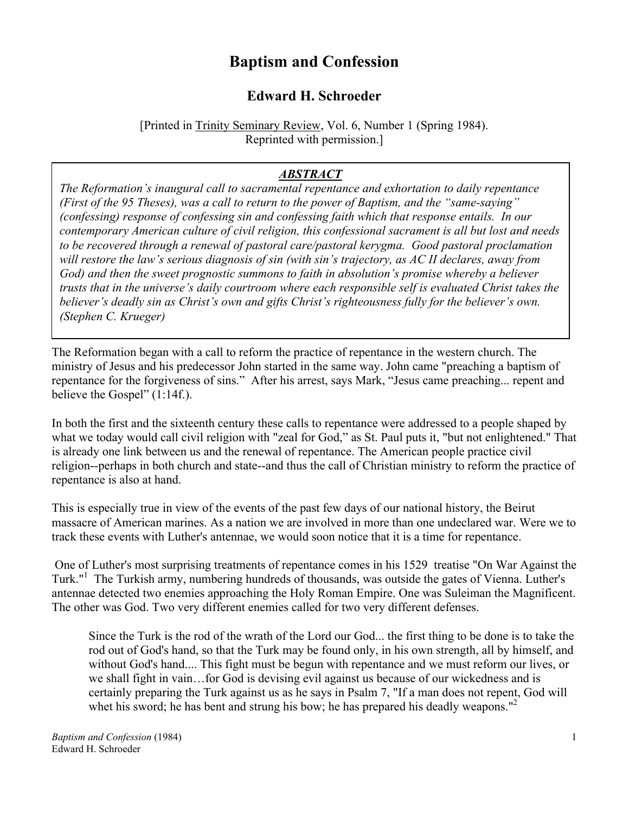# **Baptism and Confession**

## **Edward H. Schroeder**

[Printed in Trinity Seminary Review, Vol. 6, Number 1 (Spring 1984). Reprinted with permission.]

### *ABSTRACT*

*The Reformation's inaugural call to sacramental repentance and exhortation to daily repentance (First of the 95 Theses), was a call to return to the power of Baptism, and the "same-saying" (confessing) response of confessing sin and confessing faith which that response entails. In our contemporary American culture of civil religion, this confessional sacrament is all but lost and needs to be recovered through a renewal of pastoral care/pastoral kerygma. Good pastoral proclamation will restore the law's serious diagnosis of sin (with sin's trajectory, as AC II declares, away from God) and then the sweet prognostic summons to faith in absolution's promise whereby a believer trusts that in the universe's daily courtroom where each responsible self is evaluated Christ takes the believer's deadly sin as Christ's own and gifts Christ's righteousness fully for the believer's own. (Stephen C. Krueger)*

The Reformation began with a call to reform the practice of repentance in the western church. The ministry of Jesus and his predecessor John started in the same way. John came "preaching a baptism of repentance for the forgiveness of sins." After his arrest, says Mark, "Jesus came preaching... repent and believe the Gospel" (1:14f.).

In both the first and the sixteenth century these calls to repentance were addressed to a people shaped by what we today would call civil religion with "zeal for God," as St. Paul puts it, "but not enlightened." That is already one link between us and the renewal of repentance. The American people practice civil religion--perhaps in both church and state--and thus the call of Christian ministry to reform the practice of repentance is also at hand.

This is especially true in view of the events of the past few days of our national history, the Beirut massacre of American marines. As a nation we are involved in more than one undeclared war. Were we to track these events with Luther's antennae, we would soon notice that it is a time for repentance.

 One of Luther's most surprising treatments of repentance comes in his 1529 treatise "On War Against the Turk."1 The Turkish army, numbering hundreds of thousands, was outside the gates of Vienna. Luther's antennae detected two enemies approaching the Holy Roman Empire. One was Suleiman the Magnificent. The other was God. Two very different enemies called for two very different defenses.

Since the Turk is the rod of the wrath of the Lord our God... the first thing to be done is to take the rod out of God's hand, so that the Turk may be found only, in his own strength, all by himself, and without God's hand.... This fight must be begun with repentance and we must reform our lives, or we shall fight in vain…for God is devising evil against us because of our wickedness and is certainly preparing the Turk against us as he says in Psalm 7, "If a man does not repent, God will whet his sword; he has bent and strung his bow; he has prepared his deadly weapons."<sup>2</sup>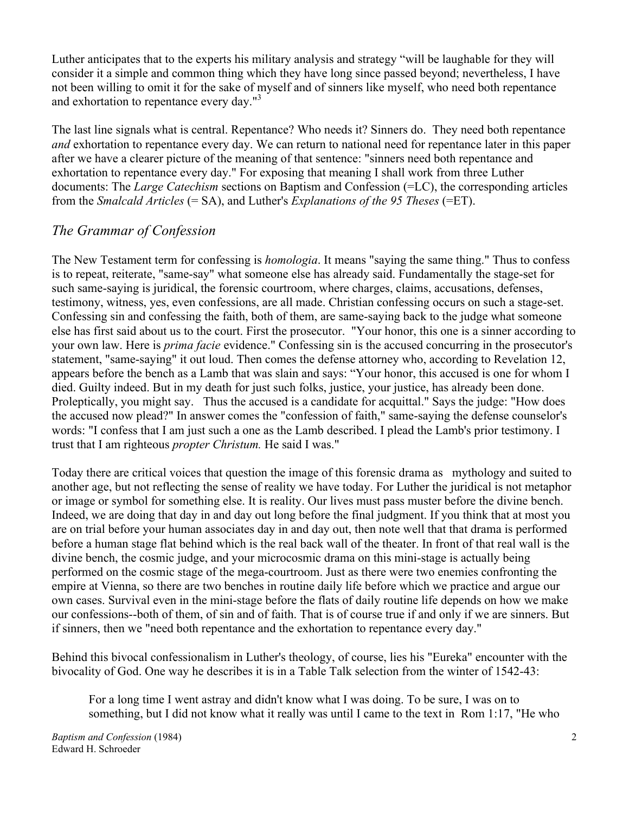Luther anticipates that to the experts his military analysis and strategy "will be laughable for they will consider it a simple and common thing which they have long since passed beyond; nevertheless, I have not been willing to omit it for the sake of myself and of sinners like myself, who need both repentance and exhortation to repentance every day."<sup>3</sup>

The last line signals what is central. Repentance? Who needs it? Sinners do. They need both repentance *and* exhortation to repentance every day. We can return to national need for repentance later in this paper after we have a clearer picture of the meaning of that sentence: "sinners need both repentance and exhortation to repentance every day." For exposing that meaning I shall work from three Luther documents: The *Large Catechism* sections on Baptism and Confession (=LC), the corresponding articles from the *Smalcald Articles* (= SA), and Luther's *Explanations of the 95 Theses* (=ET).

### *The Grammar of Confession*

The New Testament term for confessing is *homologia*. It means "saying the same thing." Thus to confess is to repeat, reiterate, "same-say" what someone else has already said. Fundamentally the stage-set for such same-saying is juridical, the forensic courtroom, where charges, claims, accusations, defenses, testimony, witness, yes, even confessions, are all made. Christian confessing occurs on such a stage-set. Confessing sin and confessing the faith, both of them, are same-saying back to the judge what someone else has first said about us to the court. First the prosecutor. "Your honor, this one is a sinner according to your own law. Here is *prima facie* evidence." Confessing sin is the accused concurring in the prosecutor's statement, "same-saying" it out loud. Then comes the defense attorney who, according to Revelation 12, appears before the bench as a Lamb that was slain and says: "Your honor, this accused is one for whom I died. Guilty indeed. But in my death for just such folks, justice, your justice, has already been done. Proleptically, you might say. Thus the accused is a candidate for acquittal." Says the judge: "How does the accused now plead?" In answer comes the "confession of faith," same-saying the defense counselor's words: "I confess that I am just such a one as the Lamb described. I plead the Lamb's prior testimony. I trust that I am righteous *propter Christum.* He said I was."

Today there are critical voices that question the image of this forensic drama as mythology and suited to another age, but not reflecting the sense of reality we have today. For Luther the juridical is not metaphor or image or symbol for something else. It is reality. Our lives must pass muster before the divine bench. Indeed, we are doing that day in and day out long before the final judgment. If you think that at most you are on trial before your human associates day in and day out, then note well that that drama is performed before a human stage flat behind which is the real back wall of the theater. In front of that real wall is the divine bench, the cosmic judge, and your microcosmic drama on this mini-stage is actually being performed on the cosmic stage of the mega-courtroom. Just as there were two enemies confronting the empire at Vienna, so there are two benches in routine daily life before which we practice and argue our own cases. Survival even in the mini-stage before the flats of daily routine life depends on how we make our confessions--both of them, of sin and of faith. That is of course true if and only if we are sinners. But if sinners, then we "need both repentance and the exhortation to repentance every day."

Behind this bivocal confessionalism in Luther's theology, of course, lies his "Eureka" encounter with the bivocality of God. One way he describes it is in a Table Talk selection from the winter of 1542-43:

For a long time I went astray and didn't know what I was doing. To be sure, I was on to something, but I did not know what it really was until I came to the text in Rom 1:17, "He who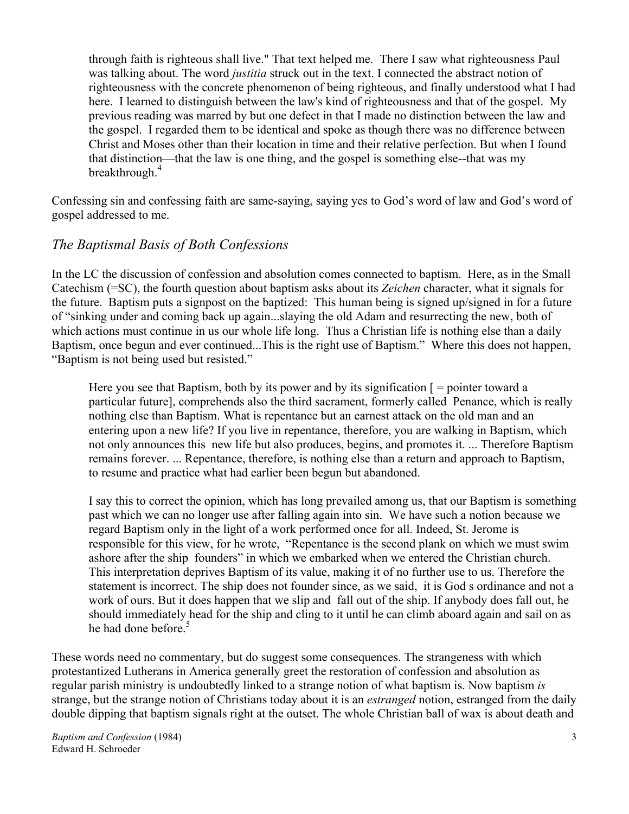through faith is righteous shall live." That text helped me. There I saw what righteousness Paul was talking about. The word *justitia* struck out in the text. I connected the abstract notion of righteousness with the concrete phenomenon of being righteous, and finally understood what I had here. I learned to distinguish between the law's kind of righteousness and that of the gospel. My previous reading was marred by but one defect in that I made no distinction between the law and the gospel. I regarded them to be identical and spoke as though there was no difference between Christ and Moses other than their location in time and their relative perfection. But when I found that distinction—that the law is one thing, and the gospel is something else--that was my breakthrough.<sup>4</sup>

Confessing sin and confessing faith are same-saying, saying yes to God's word of law and God's word of gospel addressed to me.

### *The Baptismal Basis of Both Confessions*

In the LC the discussion of confession and absolution comes connected to baptism. Here, as in the Small Catechism (=SC), the fourth question about baptism asks about its *Zeichen* character, what it signals for the future. Baptism puts a signpost on the baptized: This human being is signed up/signed in for a future of "sinking under and coming back up again...slaying the old Adam and resurrecting the new, both of which actions must continue in us our whole life long. Thus a Christian life is nothing else than a daily Baptism, once begun and ever continued...This is the right use of Baptism." Where this does not happen, "Baptism is not being used but resisted."

Here you see that Baptism, both by its power and by its signification  $\mathfrak{[} =$  pointer toward a particular future], comprehends also the third sacrament, formerly called Penance, which is really nothing else than Baptism. What is repentance but an earnest attack on the old man and an entering upon a new life? If you live in repentance, therefore, you are walking in Baptism, which not only announces this new life but also produces, begins, and promotes it. ... Therefore Baptism remains forever. ... Repentance, therefore, is nothing else than a return and approach to Baptism, to resume and practice what had earlier been begun but abandoned.

I say this to correct the opinion, which has long prevailed among us, that our Baptism is something past which we can no longer use after falling again into sin. We have such a notion because we regard Baptism only in the light of a work performed once for all. Indeed, St. Jerome is responsible for this view, for he wrote, "Repentance is the second plank on which we must swim ashore after the ship founders" in which we embarked when we entered the Christian church. This interpretation deprives Baptism of its value, making it of no further use to us. Therefore the statement is incorrect. The ship does not founder since, as we said, it is God s ordinance and not a work of ours. But it does happen that we slip and fall out of the ship. If anybody does fall out, he should immediately head for the ship and cling to it until he can climb aboard again and sail on as he had done before.<sup>5</sup>

These words need no commentary, but do suggest some consequences. The strangeness with which protestantized Lutherans in America generally greet the restoration of confession and absolution as regular parish ministry is undoubtedly linked to a strange notion of what baptism is. Now baptism *is* strange, but the strange notion of Christians today about it is an *estranged* notion, estranged from the daily double dipping that baptism signals right at the outset. The whole Christian ball of wax is about death and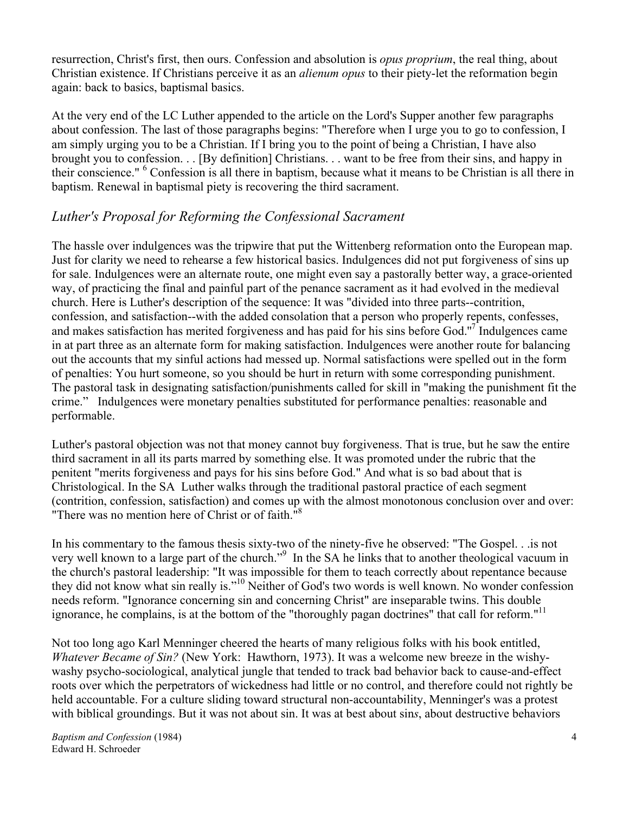resurrection, Christ's first, then ours. Confession and absolution is *opus proprium*, the real thing, about Christian existence. If Christians perceive it as an *alienum opus* to their piety-let the reformation begin again: back to basics, baptismal basics.

At the very end of the LC Luther appended to the article on the Lord's Supper another few paragraphs about confession. The last of those paragraphs begins: "Therefore when I urge you to go to confession, I am simply urging you to be a Christian. If I bring you to the point of being a Christian, I have also brought you to confession. . . [By definition] Christians. . . want to be free from their sins, and happy in their conscience." <sup>6</sup> Confession is all there in baptism, because what it means to be Christian is all there in baptism. Renewal in baptismal piety is recovering the third sacrament.

## *Luther's Proposal for Reforming the Confessional Sacrament*

The hassle over indulgences was the tripwire that put the Wittenberg reformation onto the European map. Just for clarity we need to rehearse a few historical basics. Indulgences did not put forgiveness of sins up for sale. Indulgences were an alternate route, one might even say a pastorally better way, a grace-oriented way, of practicing the final and painful part of the penance sacrament as it had evolved in the medieval church. Here is Luther's description of the sequence: It was "divided into three parts--contrition, confession, and satisfaction--with the added consolation that a person who properly repents, confesses, and makes satisfaction has merited forgiveness and has paid for his sins before God."<sup>7</sup> Indulgences came in at part three as an alternate form for making satisfaction. Indulgences were another route for balancing out the accounts that my sinful actions had messed up. Normal satisfactions were spelled out in the form of penalties: You hurt someone, so you should be hurt in return with some corresponding punishment. The pastoral task in designating satisfaction/punishments called for skill in "making the punishment fit the crime." Indulgences were monetary penalties substituted for performance penalties: reasonable and performable.

Luther's pastoral objection was not that money cannot buy forgiveness. That is true, but he saw the entire third sacrament in all its parts marred by something else. It was promoted under the rubric that the penitent "merits forgiveness and pays for his sins before God." And what is so bad about that is Christological. In the SA Luther walks through the traditional pastoral practice of each segment (contrition, confession, satisfaction) and comes up with the almost monotonous conclusion over and over: "There was no mention here of Christ or of faith."<sup>8</sup>

In his commentary to the famous thesis sixty-two of the ninety-five he observed: "The Gospel. . .is not very well known to a large part of the church."<sup>9</sup> In the SA he links that to another theological vacuum in the church's pastoral leadership: "It was impossible for them to teach correctly about repentance because they did not know what sin really is."<sup>10</sup> Neither of God's two words is well known. No wonder confession needs reform. "Ignorance concerning sin and concerning Christ" are inseparable twins. This double ignorance, he complains, is at the bottom of the "thoroughly pagan doctrines" that call for reform."<sup>11</sup>

Not too long ago Karl Menninger cheered the hearts of many religious folks with his book entitled, *Whatever Became of Sin?* (New York: Hawthorn, 1973). It was a welcome new breeze in the wishywashy psycho-sociological, analytical jungle that tended to track bad behavior back to cause-and-effect roots over which the perpetrators of wickedness had little or no control, and therefore could not rightly be held accountable. For a culture sliding toward structural non-accountability, Menninger's was a protest with biblical groundings. But it was not about sin. It was at best about sin*s*, about destructive behaviors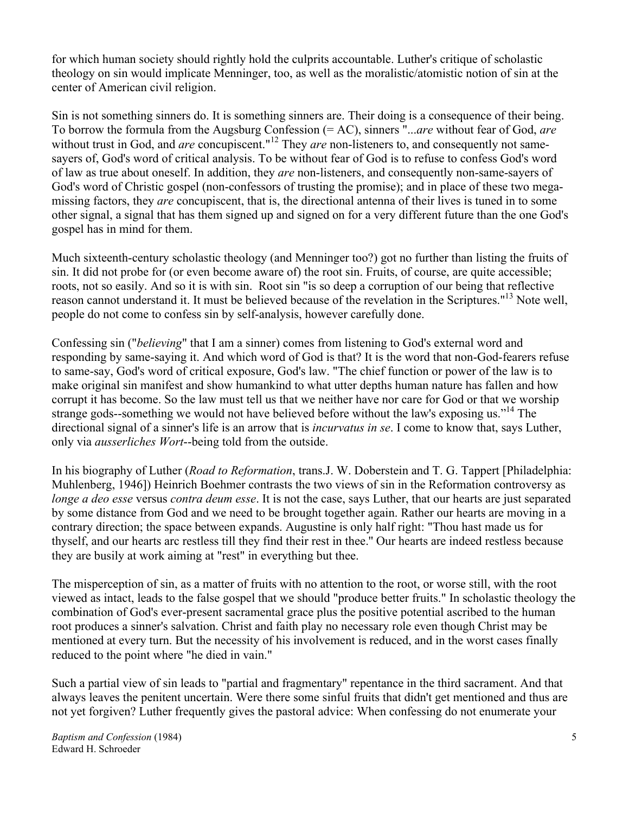for which human society should rightly hold the culprits accountable. Luther's critique of scholastic theology on sin would implicate Menninger, too, as well as the moralistic/atomistic notion of sin at the center of American civil religion.

Sin is not something sinners do. It is something sinners are. Their doing is a consequence of their being. To borrow the formula from the Augsburg Confession (= AC), sinners "...*are* without fear of God, *are* without trust in God, and *are* concupiscent."<sup>12</sup> They *are* non-listeners to, and consequently not samesayers of, God's word of critical analysis. To be without fear of God is to refuse to confess God's word of law as true about oneself. In addition, they *are* non-listeners, and consequently non-same-sayers of God's word of Christic gospel (non-confessors of trusting the promise); and in place of these two megamissing factors, they *are* concupiscent, that is, the directional antenna of their lives is tuned in to some other signal, a signal that has them signed up and signed on for a very different future than the one God's gospel has in mind for them.

Much sixteenth-century scholastic theology (and Menninger too?) got no further than listing the fruits of sin. It did not probe for (or even become aware of) the root sin. Fruits, of course, are quite accessible; roots, not so easily. And so it is with sin. Root sin "is so deep a corruption of our being that reflective reason cannot understand it. It must be believed because of the revelation in the Scriptures."<sup>13</sup> Note well, people do not come to confess sin by self-analysis, however carefully done.

Confessing sin ("*believing*" that I am a sinner) comes from listening to God's external word and responding by same-saying it. And which word of God is that? It is the word that non-God-fearers refuse to same-say, God's word of critical exposure, God's law. "The chief function or power of the law is to make original sin manifest and show humankind to what utter depths human nature has fallen and how corrupt it has become. So the law must tell us that we neither have nor care for God or that we worship strange gods--something we would not have believed before without the law's exposing us."<sup>14</sup> The directional signal of a sinner's life is an arrow that is *incurvatus in se*. I come to know that, says Luther, only via *ausserliches Wort*--being told from the outside.

In his biography of Luther (*Road to Reformation*, trans.J. W. Doberstein and T. G. Tappert [Philadelphia: Muhlenberg, 1946]) Heinrich Boehmer contrasts the two views of sin in the Reformation controversy as *longe a deo esse* versus *contra deum esse*. It is not the case, says Luther, that our hearts are just separated by some distance from God and we need to be brought together again. Rather our hearts are moving in a contrary direction; the space between expands. Augustine is only half right: "Thou hast made us for thyself, and our hearts arc restless till they find their rest in thee.'' Our hearts are indeed restless because they are busily at work aiming at "rest" in everything but thee.

The misperception of sin, as a matter of fruits with no attention to the root, or worse still, with the root viewed as intact, leads to the false gospel that we should "produce better fruits." In scholastic theology the combination of God's ever-present sacramental grace plus the positive potential ascribed to the human root produces a sinner's salvation. Christ and faith play no necessary role even though Christ may be mentioned at every turn. But the necessity of his involvement is reduced, and in the worst cases finally reduced to the point where "he died in vain."

Such a partial view of sin leads to "partial and fragmentary" repentance in the third sacrament. And that always leaves the penitent uncertain. Were there some sinful fruits that didn't get mentioned and thus are not yet forgiven? Luther frequently gives the pastoral advice: When confessing do not enumerate your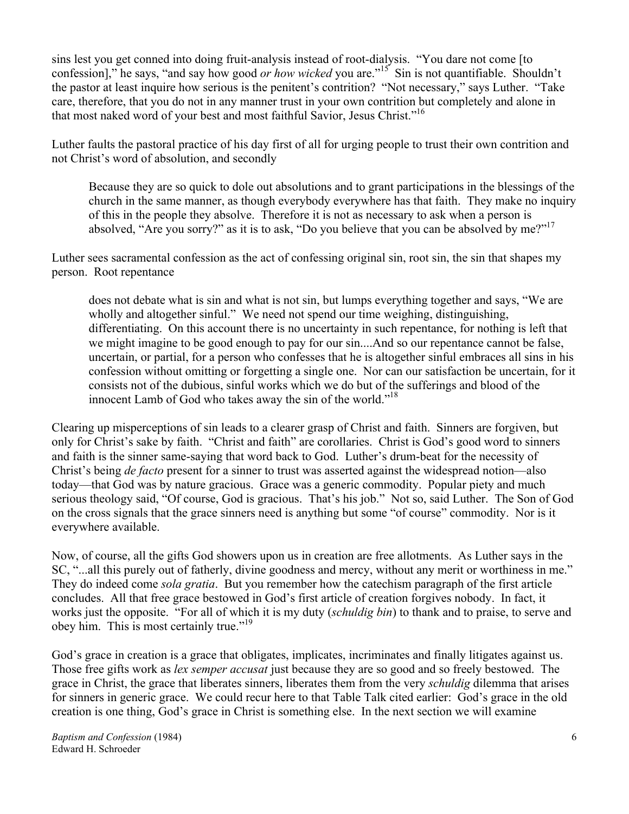sins lest you get conned into doing fruit-analysis instead of root-dialysis. "You dare not come [to confession]," he says, "and say how good *or how wicked* you are."<sup>15</sup> Sin is not quantifiable. Shouldn't the pastor at least inquire how serious is the penitent's contrition? "Not necessary," says Luther. "Take care, therefore, that you do not in any manner trust in your own contrition but completely and alone in that most naked word of your best and most faithful Savior, Jesus Christ."<sup>16</sup>

Luther faults the pastoral practice of his day first of all for urging people to trust their own contrition and not Christ's word of absolution, and secondly

Because they are so quick to dole out absolutions and to grant participations in the blessings of the church in the same manner, as though everybody everywhere has that faith. They make no inquiry of this in the people they absolve. Therefore it is not as necessary to ask when a person is absolved, "Are you sorry?" as it is to ask, "Do you believe that you can be absolved by me?"<sup>17</sup>

Luther sees sacramental confession as the act of confessing original sin, root sin, the sin that shapes my person. Root repentance

does not debate what is sin and what is not sin, but lumps everything together and says, "We are wholly and altogether sinful." We need not spend our time weighing, distinguishing, differentiating. On this account there is no uncertainty in such repentance, for nothing is left that we might imagine to be good enough to pay for our sin....And so our repentance cannot be false, uncertain, or partial, for a person who confesses that he is altogether sinful embraces all sins in his confession without omitting or forgetting a single one. Nor can our satisfaction be uncertain, for it consists not of the dubious, sinful works which we do but of the sufferings and blood of the innocent Lamb of God who takes away the sin of the world."<sup>18</sup>

Clearing up misperceptions of sin leads to a clearer grasp of Christ and faith. Sinners are forgiven, but only for Christ's sake by faith. "Christ and faith" are corollaries. Christ is God's good word to sinners and faith is the sinner same-saying that word back to God. Luther's drum-beat for the necessity of Christ's being *de facto* present for a sinner to trust was asserted against the widespread notion—also today—that God was by nature gracious. Grace was a generic commodity. Popular piety and much serious theology said, "Of course, God is gracious. That's his job." Not so, said Luther. The Son of God on the cross signals that the grace sinners need is anything but some "of course" commodity. Nor is it everywhere available.

Now, of course, all the gifts God showers upon us in creation are free allotments. As Luther says in the SC, "...all this purely out of fatherly, divine goodness and mercy, without any merit or worthiness in me." They do indeed come *sola gratia*. But you remember how the catechism paragraph of the first article concludes. All that free grace bestowed in God's first article of creation forgives nobody. In fact, it works just the opposite. "For all of which it is my duty (*schuldig bin*) to thank and to praise, to serve and obey him. This is most certainly true."<sup>19</sup>

God's grace in creation is a grace that obligates, implicates, incriminates and finally litigates against us. Those free gifts work as *lex semper accusat* just because they are so good and so freely bestowed. The grace in Christ, the grace that liberates sinners, liberates them from the very *schuldig* dilemma that arises for sinners in generic grace. We could recur here to that Table Talk cited earlier: God's grace in the old creation is one thing, God's grace in Christ is something else. In the next section we will examine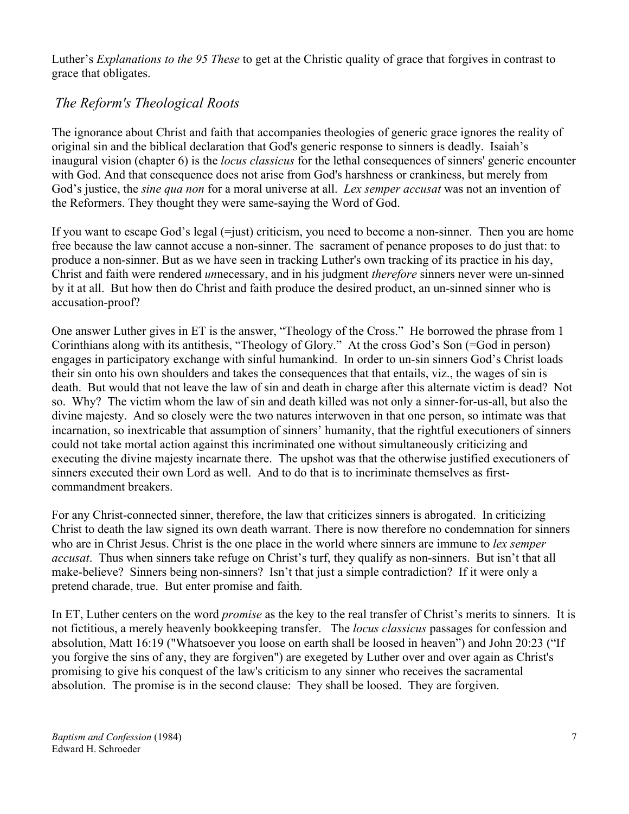Luther's *Explanations to the 95 These* to get at the Christic quality of grace that forgives in contrast to grace that obligates.

## *The Reform's Theological Roots*

The ignorance about Christ and faith that accompanies theologies of generic grace ignores the reality of original sin and the biblical declaration that God's generic response to sinners is deadly. Isaiah's inaugural vision (chapter 6) is the *locus classicus* for the lethal consequences of sinners' generic encounter with God. And that consequence does not arise from God's harshness or crankiness, but merely from God's justice, the *sine qua non* for a moral universe at all. *Lex semper accusat* was not an invention of the Reformers. They thought they were same-saying the Word of God.

If you want to escape God's legal (=just) criticism, you need to become a non-sinner. Then you are home free because the law cannot accuse a non-sinner. The sacrament of penance proposes to do just that: to produce a non-sinner. But as we have seen in tracking Luther's own tracking of its practice in his day, Christ and faith were rendered *un*necessary, and in his judgment *therefore* sinners never were un-sinned by it at all. But how then do Christ and faith produce the desired product, an un-sinned sinner who is accusation-proof?

One answer Luther gives in ET is the answer, "Theology of the Cross." He borrowed the phrase from 1 Corinthians along with its antithesis, "Theology of Glory." At the cross God's Son (=God in person) engages in participatory exchange with sinful humankind. In order to un-sin sinners God's Christ loads their sin onto his own shoulders and takes the consequences that that entails, viz., the wages of sin is death. But would that not leave the law of sin and death in charge after this alternate victim is dead? Not so. Why? The victim whom the law of sin and death killed was not only a sinner-for-us-all, but also the divine majesty. And so closely were the two natures interwoven in that one person, so intimate was that incarnation, so inextricable that assumption of sinners' humanity, that the rightful executioners of sinners could not take mortal action against this incriminated one without simultaneously criticizing and executing the divine majesty incarnate there. The upshot was that the otherwise justified executioners of sinners executed their own Lord as well. And to do that is to incriminate themselves as firstcommandment breakers.

For any Christ-connected sinner, therefore, the law that criticizes sinners is abrogated. In criticizing Christ to death the law signed its own death warrant. There is now therefore no condemnation for sinners who are in Christ Jesus. Christ is the one place in the world where sinners are immune to *lex semper accusat*. Thus when sinners take refuge on Christ's turf, they qualify as non-sinners. But isn't that all make-believe? Sinners being non-sinners? Isn't that just a simple contradiction? If it were only a pretend charade, true. But enter promise and faith.

In ET, Luther centers on the word *promise* as the key to the real transfer of Christ's merits to sinners. It is not fictitious, a merely heavenly bookkeeping transfer. The *locus classicus* passages for confession and absolution, Matt 16:19 ("Whatsoever you loose on earth shall be loosed in heaven") and John 20:23 ("If you forgive the sins of any, they are forgiven") are exegeted by Luther over and over again as Christ's promising to give his conquest of the law's criticism to any sinner who receives the sacramental absolution. The promise is in the second clause: They shall be loosed. They are forgiven.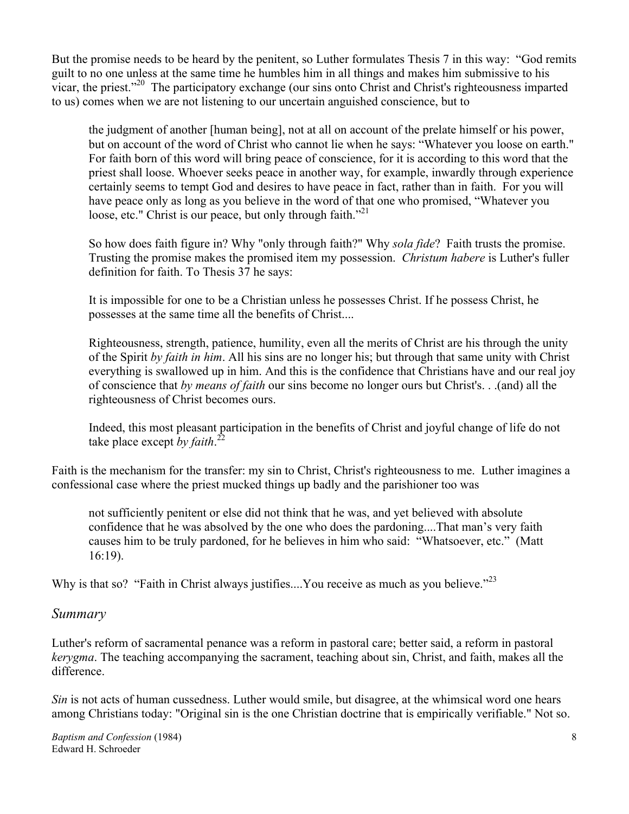But the promise needs to be heard by the penitent, so Luther formulates Thesis 7 in this way: "God remits" guilt to no one unless at the same time he humbles him in all things and makes him submissive to his vicar, the priest."<sup>20</sup> The participatory exchange (our sins onto Christ and Christ's righteousness imparted to us) comes when we are not listening to our uncertain anguished conscience, but to

the judgment of another [human being], not at all on account of the prelate himself or his power, but on account of the word of Christ who cannot lie when he says: "Whatever you loose on earth." For faith born of this word will bring peace of conscience, for it is according to this word that the priest shall loose. Whoever seeks peace in another way, for example, inwardly through experience certainly seems to tempt God and desires to have peace in fact, rather than in faith. For you will have peace only as long as you believe in the word of that one who promised, "Whatever you loose, etc." Christ is our peace, but only through faith. $12^{21}$ 

So how does faith figure in? Why "only through faith?" Why *sola fide*? Faith trusts the promise. Trusting the promise makes the promised item my possession. *Christum habere* is Luther's fuller definition for faith. To Thesis 37 he says:

It is impossible for one to be a Christian unless he possesses Christ. If he possess Christ, he possesses at the same time all the benefits of Christ....

Righteousness, strength, patience, humility, even all the merits of Christ are his through the unity of the Spirit *by faith in him*. All his sins are no longer his; but through that same unity with Christ everything is swallowed up in him. And this is the confidence that Christians have and our real joy of conscience that *by means of faith* our sins become no longer ours but Christ's. . .(and) all the righteousness of Christ becomes ours.

Indeed, this most pleasant participation in the benefits of Christ and joyful change of life do not take place except *by faith*. 22

Faith is the mechanism for the transfer: my sin to Christ, Christ's righteousness to me. Luther imagines a confessional case where the priest mucked things up badly and the parishioner too was

not sufficiently penitent or else did not think that he was, and yet believed with absolute confidence that he was absolved by the one who does the pardoning....That man's very faith causes him to be truly pardoned, for he believes in him who said: "Whatsoever, etc." (Matt 16:19).

Why is that so? "Faith in Christ always justifies....You receive as much as you believe."<sup>23</sup>

#### *Summary*

Luther's reform of sacramental penance was a reform in pastoral care; better said, a reform in pastoral *kerygma*. The teaching accompanying the sacrament, teaching about sin, Christ, and faith, makes all the difference.

*Sin* is not acts of human cussedness. Luther would smile, but disagree, at the whimsical word one hears among Christians today: "Original sin is the one Christian doctrine that is empirically verifiable." Not so.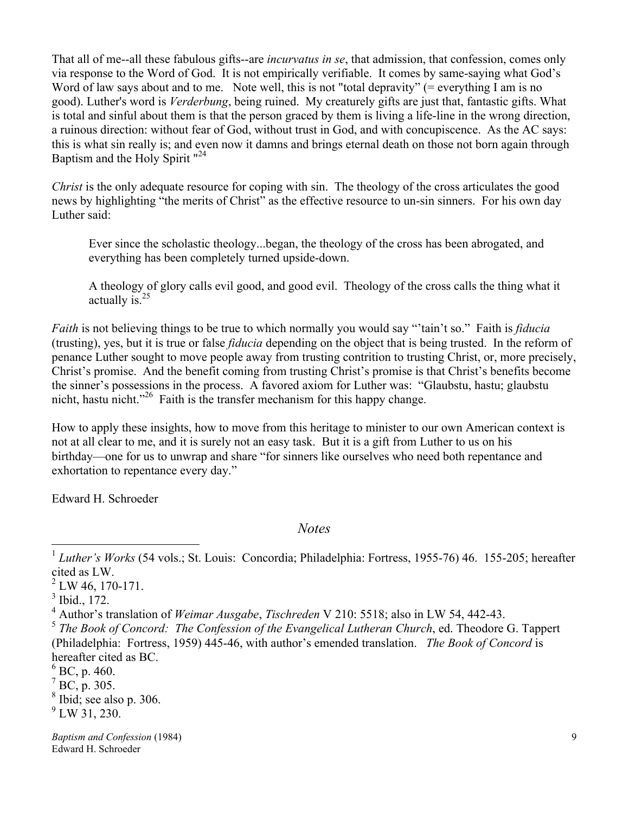That all of me--all these fabulous gifts--are *incurvatus in se*, that admission, that confession, comes only via response to the Word of God. It is not empirically verifiable. It comes by same-saying what God's Word of law says about and to me. Note well, this is not "total depravity" (= everything I am is no good). Luther's word is *Verderbung*, being ruined. My creaturely gifts are just that, fantastic gifts. What is total and sinful about them is that the person graced by them is living a life-line in the wrong direction, a ruinous direction: without fear of God, without trust in God, and with concupiscence. As the AC says: this is what sin really is; and even now it damns and brings eternal death on those not born again through Baptism and the Holy Spirit "<sup>24</sup>

*Christ* is the only adequate resource for coping with sin. The theology of the cross articulates the good news by highlighting "the merits of Christ" as the effective resource to un-sin sinners. For his own day Luther said:

Ever since the scholastic theology...began, the theology of the cross has been abrogated, and everything has been completely turned upside-down.

A theology of glory calls evil good, and good evil. Theology of the cross calls the thing what it actually is.<sup>25</sup>

*Faith* is not believing things to be true to which normally you would say "'tain't so." Faith is *fiducia* (trusting), yes, but it is true or false *fiducia* depending on the object that is being trusted. In the reform of penance Luther sought to move people away from trusting contrition to trusting Christ, or, more precisely, Christ's promise. And the benefit coming from trusting Christ's promise is that Christ's benefits become the sinner's possessions in the process. A favored axiom for Luther was: "Glaubstu, hastu; glaubstu nicht, hastu nicht."<sup>26</sup> Faith is the transfer mechanism for this happy change.

How to apply these insights, how to move from this heritage to minister to our own American context is not at all clear to me, and it is surely not an easy task. But it is a gift from Luther to us on his birthday—one for us to unwrap and share "for sinners like ourselves who need both repentance and exhortation to repentance every day."

Edward H. Schroeder

#### *Notes*

 $\overline{a}$ 

<sup>&</sup>lt;sup>1</sup> *Luther's Works* (54 vols.; St. Louis: Concordia; Philadelphia: Fortress, 1955-76) 46. 155-205; hereafter cited as LW.

 $2$  LW 46, 170-171.

<sup>&</sup>lt;sup>3</sup> Ibid., 172.

<sup>4</sup> Author's translation of *Weimar Ausgabe*, *Tischreden* V 210: 5518; also in LW 54, 442-43.

<sup>&</sup>lt;sup>5</sup> The Book of Concord: The Confession of the Evangelical Lutheran Church, ed. Theodore G. Tappert (Philadelphia: Fortress, 1959) 445-46, with author's emended translation. *The Book of Concord* is hereafter cited as BC.

 $6$  BC, p. 460.

 $^7$  BC, p. 305.

 $8$  Ibid; see also p. 306.

 $^{9}$  LW 31, 230.